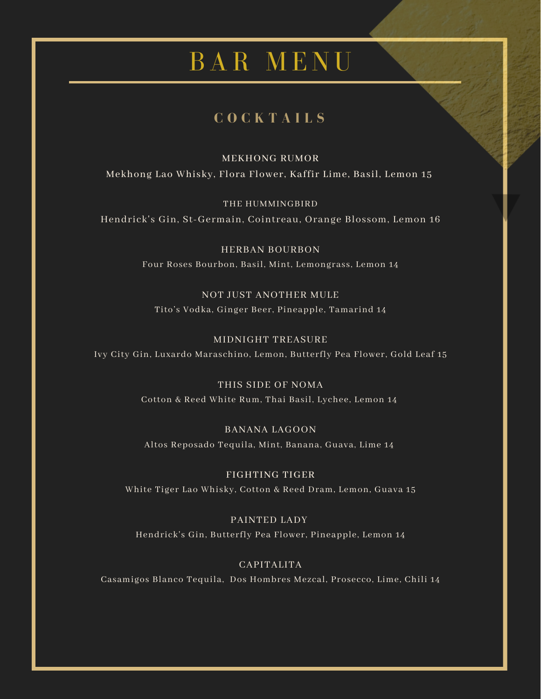## **C O C K T A I L S**

MEKHONG RUMOR Mekhong Lao Whisky, Flora Flower, Kaffir Lime, Basil, Lemon 15

THE HUMMINGBIRD Hendrick's Gin, St-Germain, Cointreau, Orange Blossom, Lemon 16

> HERBAN BOURBON Four Roses Bourbon, Basil, Mint, Lemongrass, Lemon 14

NOT JUST ANOTHER MULE Tito's Vodka, Ginger Beer, Pineapple, Tamarind 14

MIDNIGHT TREASURE Ivy City Gin, Luxardo Maraschino, Lemon, Butterfly Pea Flower, Gold Leaf 15

> THIS SIDE OF NOMA Cotton & Reed White Rum, Thai Basil, Lychee, Lemon 14

BANANA LAGOON Altos Reposado Tequila, Mint, Banana, Guava, Lime 14

FIGHTING TIGER White Tiger Lao Whisky, Cotton & Reed Dram, Lemon, Guava 15

PAINTED LADY Hendrick's Gin, Butterfly Pea Flower, Pineapple, Lemon 14

CAPITALITA Casamigos Blanco Tequila, Dos Hombres Mezcal, Prosecco, Lime, Chili 14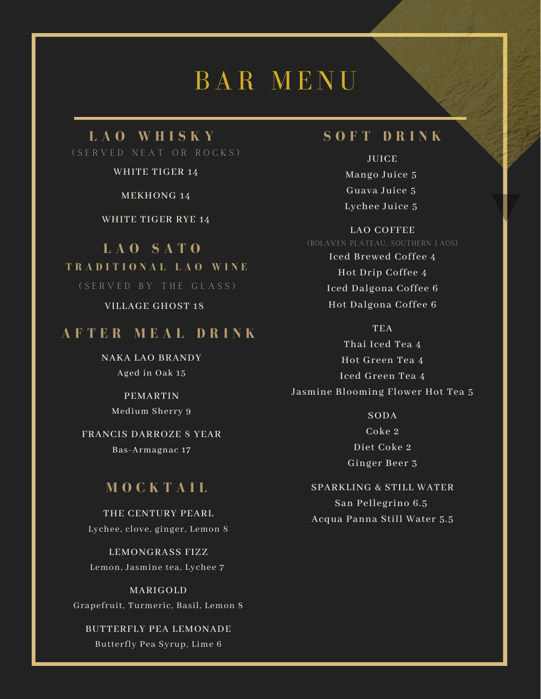#### **L A O W H I S K Y** ( S E R V E D N E A T O R R O C K S )

WHITE TIGER 14

MEKHONG 14

WHITE TIGER RYE 14

**L A O S A T O T R A D I T I O N A L L A O W I N E** ( S E R V E D B Y T H E G L A S S )

VILLAGE GHOST 18

#### **A F T E R M E A L D R I N K**

NAKA LAO BRANDY Aged in Oak 15

> PEMARTIN Medium Sherry 9

FRANCIS DARROZE 8 YEAR Bas-Armagnac 17

#### **M O C K T A I L**

THE CENTURY PEARL Lychee, clove, ginger, Lemon 8

LEMONGRASS FIZZ Lemon, Jasmine tea, Lychee 7

MARIGOLD Grapefruit, Turmeric, Basil, Lemon 8

BUTTERFLY PEA LEMONADE Butterfly Pea Syrup, Lime 6

### **S O F T D R I N K**

JUICE Mango Juice 5 Guava Juice 5 Lychee Juice 5

#### LAO COFFEE

(BOLAVEN PLATEAU, SOUTHERN LAOS)

Iced Brewed Coffee 4 Hot Drip Coffee 4 Iced Dalgona Coffee 6 Hot Dalgona Coffee 6

TEA Thai Iced Tea 4 Hot Green Tea 4 Iced Green Tea 4 Jasmine Blooming Flower Hot Tea 5

> SODA Coke 2 Diet Coke 2 Ginger Beer 3

SPARKLING & STILL WATER San Pellegrino 6.5 Acqua Panna Still Water 5.5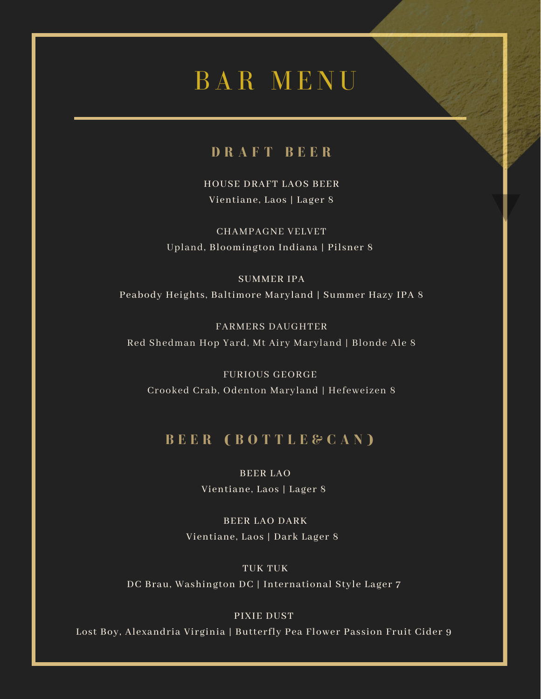## **D R A F T B E E R**

HOUSE DRAFT LAOS BEER Vientiane, Laos | Lager 8

CHAMPAGNE VELVET Upland, Bloomington Indiana | Pilsner 8

SUMMER IPA Peabody Heights, Baltimore Maryland | Summer Hazy IPA 8

FARMERS DAUGHTER Red Shedman Hop Yard, Mt Airy Maryland | Blonde Ale 8

FURIOUS GEORGE Crooked Crab, Odenton Maryland | Hefeweizen 8

### **B E E R ( B O T T L E & C A N )**

BEER LAO

Vientiane, Laos | Lager 8

BEER LAO DARK Vientiane, Laos | Dark Lager 8

#### TUK TUK

DC Brau, Washington DC | International Style Lager 7

#### PIXIE DUST

Lost Boy, Alexandria Virginia | Butterfly Pea Flower Passion Fruit Cider 9